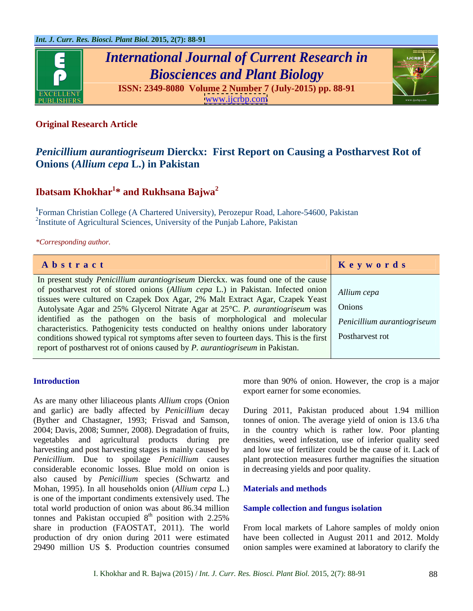

# *International Journal of Current Research in Biosciences and Plant Biology*



**ISSN: 2349-8080 Volume 2 Number 7 (July-2015) pp. 88-91** [www.ijcrbp.com](http://www.ijcrbp.com)

### **Original Research Article**

## *Penicillium aurantiogriseum* **Dierckx: First Report on Causing a Postharvest Rot of Onions (***Allium cepa* **L.) in Pakistan**

# **Ibatsam Khokhar<sup>1</sup> \* and Rukhsana Bajwa<sup>2</sup>**

**<sup>1</sup>**Forman Christian College (A Chartered University), Perozepur Road, Lahore-54600, Pakistan <sup>2</sup>Institute of Agricultural Sciences, University of the Punjab Lahore, Pakistan

### *\*Corresponding author.*

| Abstract                                                                                                  | Keywords |
|-----------------------------------------------------------------------------------------------------------|----------|
| In present study <i>Penicillium aurantiogriseum</i> Dierckx, was found one of the cause                   |          |
|                                                                                                           |          |
| of postharvest rot of stored onions (Allium cepa L.) in Pakistan. Infected onion Allium cepa              |          |
| tissues were cultured on Czapek Dox Agar, 2% Malt Extract Agar, Czapek Yeast                              |          |
| Autolysate Agar and 25% Glycerol Nitrate Agar at 25°C. P. aurantiogriseum was   Onions                    |          |
| identified as the pathogen on the basis of morphological and molecular <i>Penicillium aurantiogriseum</i> |          |
|                                                                                                           |          |
| characteristics. Pathogenicity tests conducted on healthy onions under laboratory                         |          |
| conditions showed typical rot symptoms after seven to fourteen days. This is the first Postharvest rot    |          |
| report of postharvest rot of onions caused by <i>P. aurantiogriseum</i> in Pakistan.                      |          |
|                                                                                                           |          |

As are many other liliaceous plants *Allium* crops (Onion and garlic) are badly affected by *Penicillium* decay During 2011, Pakistan produced about 1.94 million (Byther and Chastagner, 1993; Frisvad and Samson, tonnes of onion. The average yield of onion is 13.6 t/ha 2004; Davis, 2008; Sumner, 2008). Degradation of fruits, in the country which is rather low. Poor planting vegetables and agricultural products during pre densities, weed infestation, use of inferior quality seed harvesting and post harvesting stages is mainly caused by and low use of fertilizer could be the cause of it. Lack of *Penicillium*. Due to spoilage *Penicillium* causes plant protection measures further magnifies the situation considerable economic losses. Blue mold on onion is also caused by *Penicillium* species (Schwartz and Mohan, 1995). In all households onion (*Allium cepa* L.) is one of the important condiments extensively used. The total world production of onion was about 86.34 million tonnes and Pakistan occupied  $8<sup>th</sup>$  position with 2.25% share in production (FAOSTAT, 2011). The world  $t<sup>th</sup>$  position with 2.25% share in production (FAOSTAT, 2011). The world From local markets of Lahore samples of moldy onion production of dry onion during 2011 were estimated havebeen collected in August 2011 and 2012. Moldy

**Introduction** more than 90% of onion. However, the crop is a major export earner for some economies.

in decreasing yields and poor quality.

### **Materials and methods**

### **Sample collection and fungus isolation**

29490 million US \$. Production countries consumed onion samples were examined at laboratory to clarify the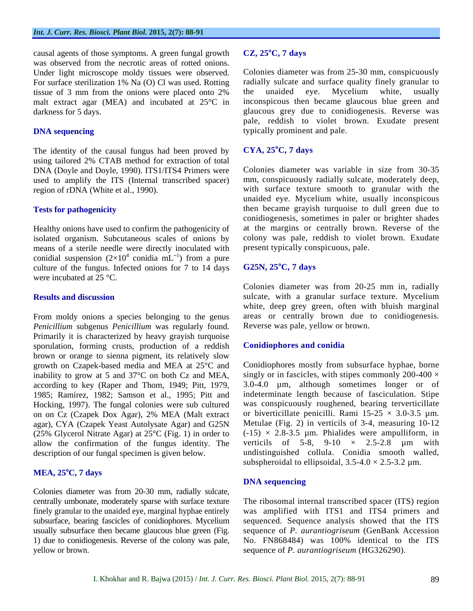causal agents of those symptoms. A green fungal growth  $CZ$ ,  $25^{\circ}C$ , 7 days was observed from the necrotic areas of rotted onions. For surface sterilization 1% Na (O) Cl was used. Rotting radially sulcate and surface quality finely gra<br>tissue of 3 mm from the onions were placed onto 2% the unaided eye. Mycelium white, tissue of 3 mm from the onions were placed onto 2% the unaided eye. Mycelium white, usually malt extract agar (MEA) and incubated at 25°C in

The identity of the causal fungus had been proved by  $CYA$ ,  $25^{\circ}C$ , 7 days using tailored 2% CTAB method for extraction of total DNA (Doyle and Doyle, 1990). ITS1/ITS4 Primers were used to amplify the ITS (Internal transcribed spacer)

Healthy onions have used to confirm the pathogenicity of isolated organism. Subcutaneous scales of onions by means of a sterile needle were directly inoculated with conidial suspension  $(2\times10^4 \text{ conidia } \text{mL}^{-1})$  from a pure conidia  $mL^{-1}$ ) from a pure  $\frac{1}{1}$  from a pure ) from a pure culture of the fungus. Infected onions for 7 to 14 days  $\cdot$  G25N, 25<sup>o</sup>C, 7 days were incubated at 25 °C.

From moldy onions a species belonging to the genus *Penicillium* subgenus *Penicillium* was regularly found. Primarily it is characterized by heavy grayish turquoise<br>sporulation, forming crusts, production of a reddish **Conidiophores and conidia** sporulation, forming crusts, production of a reddish brown or orange to sienna pigment, its relatively slow growth on Czapek-based media and MEA at 25°C and inability to grow at 5 and 37°C on both Cz and MEA, according to key (Raper and Thom, 1949; Pitt, 1979, 1985; Ramírez, 1982; Samson et al., 1995; Pitt and Hocking, 1997). The fungal colonies were sub cultured on on Cz (Czapek Dox Agar), 2% MEA (Malt extract agar), CYA (Czapek Yeast Autolysate Agar) and G25N (25% Glycerol Nitrate Agar) at  $25^{\circ}$ C (Fig. 1) in order to allow the confirmation of the fungus identity. The

### **MEA, 25oC, 7 days**

Colonies diameter was from 20-30 mm, radially sulcate, usually subsurface then became glaucous blue green (Fig. yellow or brown. sequence of *P. aurantiogriseum* (HG326290).

### **CZ, 25 oC, 7 days**

Under light microscope moldy tissues were observed. Colonies diameter was from 25-30 mm, conspicuously darkness for 5 days. The same of the set of the set of the set of the conidiogenesis. Reverse was **DNA sequencing** typically prominent and pale. radially sulcate and surface quality finely granular to the unaided eye. Mycelium white, usually inconspicous then became glaucous blue green and pale, reddish to violet brown. Exudate present typically prominent and pale.

### **CYA, 25 oC, 7 days**

region of rDNA (White et al., 1990). with surface texture smooth to granular with the **Tests for pathogenicity** then became grayish turquoise to dull green due to Colonies diameter was variable in size from 30-35 mm, conspicuously radially sulcate, moderately deep, unaided eye. Mycelium white, usually inconspicous conidiogenesis, sometimes in paler or brighter shades at the margins or centrally brown. Reverse of the colony was pale, reddish to violet brown. Exudate present typically conspicuous, pale.

### **G25N, 25oC, 7 days**

**Results and discussion** sulcate, with a granular surface texture. Mycelium Colonies diameter was from 20-25 mm in, radially white, deep grey green, often with bluish marginal areas or centrally brown due to conidiogenesis. Reverse was pale, yellow or brown.

### **Conidiophores and conidia**

description of our fungal specimen is given below. undistinguished collula. Conidia smooth walled, Conidiophores mostly from subsurface hyphae, borne singly or in fascicles, with stipes commonly 200-400  $\times$ 3.0-4.0 µm, although sometimes longer or of indeterminate length because of fasciculation. Stipe was conspicuously roughened, bearing terverticillate or biverticillate penicilli. Rami  $15-25 \times 3.0-3.5 \text{ µm}$ . Metulae (Fig. 2) in verticils of 3-4, measuring 10-12  $(-15) \times 2.8 - 3.5$  µm. Phialides were ampulliform, in verticils of 5-8, 9-10  $\times$  2.5-2.8  $\mu$ m with subspheroidal to ellipsoidal,  $3.5-4.0 \times 2.5-3.2 \mu$ m.

### **DNA sequencing**

centrally umbonate, moderately sparse with surface texture The ribosomal internal transcribed spacer (ITS) region finely granular to the unaided eye, marginal hyphae entirely was amplified with ITS1 and ITS4 primers and subsurface, bearing fascicles of conidiophores. Mycelium sequenced. Sequence analysis showed that the ITS 1) due to conidiogenesis. Reverse of the colony was pale, No. FN868484) was 100% identical to the ITS sequence of *P. aurantiogriseum* (GenBank Accession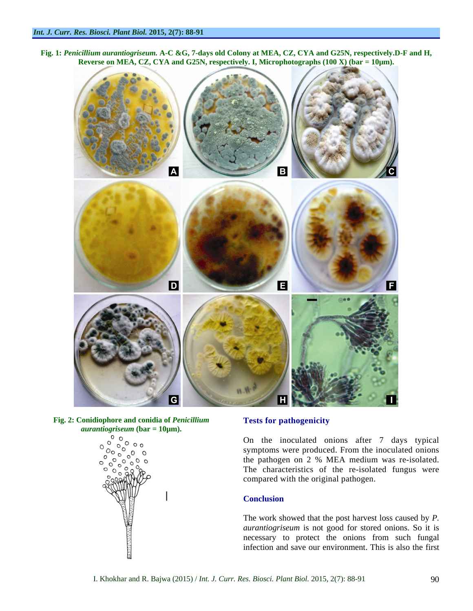**Fig. 1:** *Penicillium aurantiogriseum.* **A-C &G, 7-days old Colony at MEA, CZ, CYA and G25N, respectively.D-F and H, Reverse on MEA, CZ, CYA and G25N, respectively. I, Microphotographs (100 X) (bar = 10µm).**



Fig. 2: Conidiophore and conidia of *Penicillium* **Fests for pathogenicity** *aurantiogriseum* **(bar = 10µm).**



### **Tests for pathogenicity**

On the inoculated onions after 7 days typical symptoms were produced. From the inoculated onions the pathogen on 2 % MEA medium was re-isolated. The characteristics of the re-isolated fungus were compared with the original pathogen.

### **Conclusion**

The work showed that the post harvest loss caused by *P. aurantiogriseum* is not good for stored onions. So it is necessary to protect the onions from such fungal infection and save our environment. This is also the first